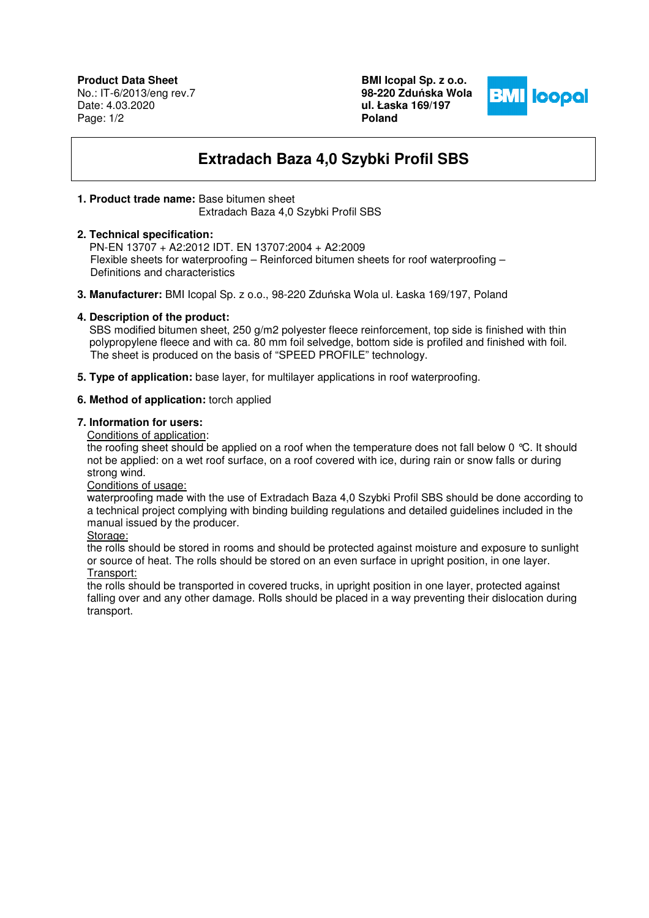**Product Data Sheet** No.: IT-6/2013/eng rev.7 Date: 4.03.2020 Page: 1/2

**BMI Icopal Sp. z o.o. 98-220 Zdu**ń**ska Wola ul. Łaska 169/197 Poland** 



# **Extradach Baza 4,0 Szybki Profil SBS**

#### **1. Product trade name:** Base bitumen sheet

Extradach Baza 4,0 Szybki Profil SBS

## **2. Technical specification:**

 PN-EN 13707 + A2:2012 IDT. EN 13707:2004 + A2:2009 Flexible sheets for waterproofing – Reinforced bitumen sheets for roof waterproofing – Definitions and characteristics

**3. Manufacturer:** BMI Icopal Sp. z o.o., 98-220 Zduńska Wola ul. Łaska 169/197, Poland

# **4. Description of the product:**

SBS modified bitumen sheet, 250 g/m2 polyester fleece reinforcement, top side is finished with thin polypropylene fleece and with ca. 80 mm foil selvedge, bottom side is profiled and finished with foil. The sheet is produced on the basis of "SPEED PROFILE" technology.

**5. Type of application:** base layer, for multilayer applications in roof waterproofing.

# **6. Method of application:** torch applied

# **7. Information for users:**

Conditions of application:

the roofing sheet should be applied on a roof when the temperature does not fall below 0 °C. It should not be applied: on a wet roof surface, on a roof covered with ice, during rain or snow falls or during strong wind.

Conditions of usage:

waterproofing made with the use of Extradach Baza 4,0 Szybki Profil SBS should be done according to a technical project complying with binding building regulations and detailed guidelines included in the manual issued by the producer.

Storage:

the rolls should be stored in rooms and should be protected against moisture and exposure to sunlight or source of heat. The rolls should be stored on an even surface in upright position, in one layer. Transport:

the rolls should be transported in covered trucks, in upright position in one layer, protected against falling over and any other damage. Rolls should be placed in a way preventing their dislocation during transport.